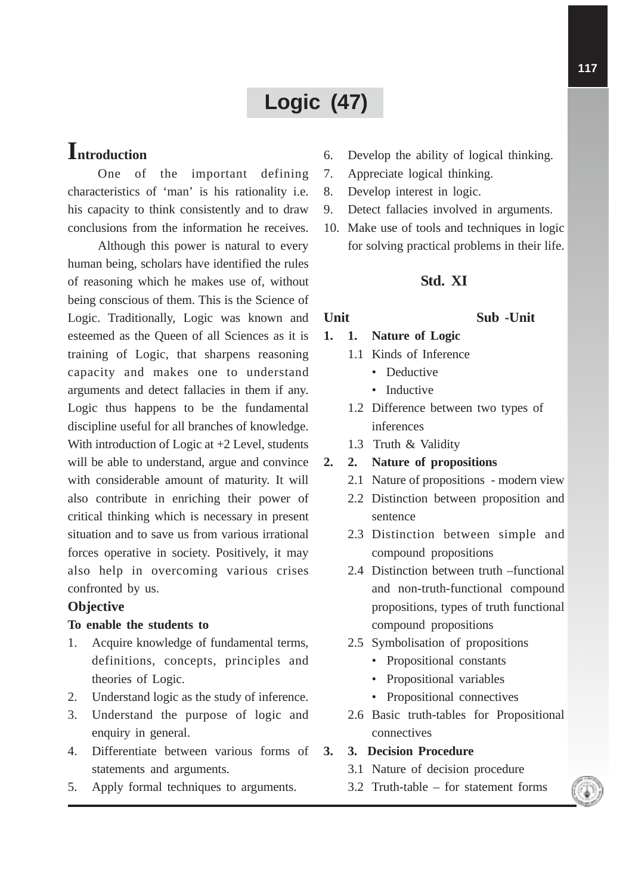# **Logic (47)**

## **Introduction**

One of the important defining characteristics of 'man' is his rationality i.e. his capacity to think consistently and to draw conclusions from the information he receives.

Although this power is natural to every human being, scholars have identified the rules of reasoning which he makes use of, without being conscious of them. This is the Science of Logic. Traditionally, Logic was known and esteemed as the Queen of all Sciences as it is training of Logic, that sharpens reasoning capacity and makes one to understand arguments and detect fallacies in them if any. Logic thus happens to be the fundamental discipline useful for all branches of knowledge. With introduction of Logic at  $+2$  Level, students will be able to understand, argue and convince with considerable amount of maturity. It will also contribute in enriching their power of critical thinking which is necessary in present situation and to save us from various irrational forces operative in society. Positively, it may also help in overcoming various crises confronted by us.

#### **Objective**

#### **To enable the students to**

- 1. Acquire knowledge of fundamental terms, definitions, concepts, principles and theories of Logic.
- 2. Understand logic as the study of inference.
- 3. Understand the purpose of logic and enquiry in general.
- 4. Differentiate between various forms of statements and arguments.
- 5. Apply formal techniques to arguments.
- 6. Develop the ability of logical thinking.
- 7. Appreciate logical thinking.
- 8. Develop interest in logic.
- 9. Detect fallacies involved in arguments.
- 10. Make use of tools and techniques in logic for solving practical problems in their life.

### **Std. XI**

#### **Unit Sub -Unit**

#### **1. 1. Nature of Logic**

- 1.1 Kinds of Inference
	- Deductive
	- Inductive
- 1.2 Difference between two types of inferences
- 1.3 Truth & Validity

#### **2. 2. Nature of propositions**

- 2.1 Nature of propositions modern view
- 2.2 Distinction between proposition and sentence
- 2.3 Distinction between simple and compound propositions
- 2.4 Distinction between truth –functional and non-truth-functional compound propositions, types of truth functional compound propositions
- 2.5 Symbolisation of propositions
	- Propositional constants
	- Propositional variables
	- Propositional connectives
- 2.6 Basic truth-tables for Propositional connectives
- **3. 3. Decision Procedure**
	- 3.1 Nature of decision procedure
	- 3.2 Truth-table for statement forms

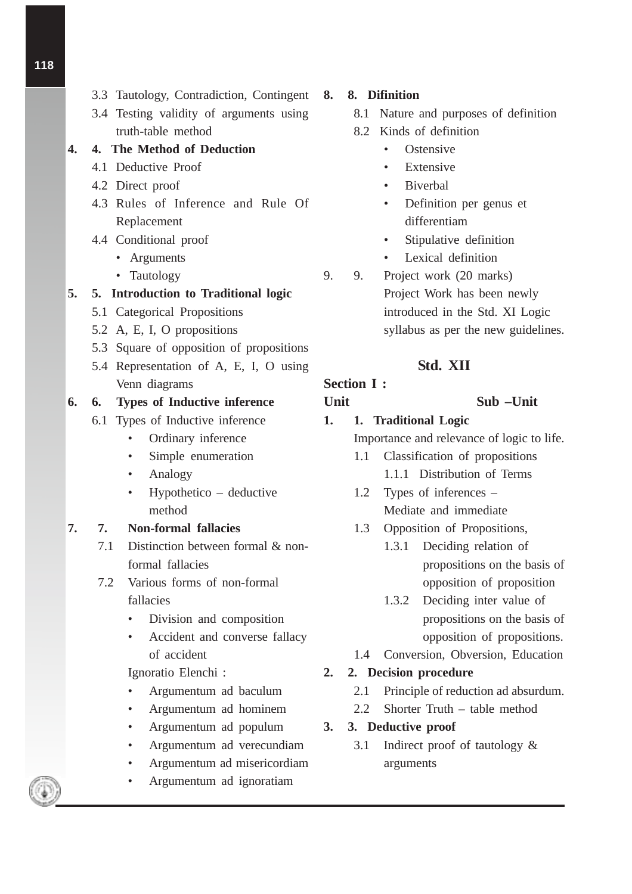- 3.3 Tautology, Contradiction, Contingent
- 3.4 Testing validity of arguments using truth-table method

### **4. 4. The Method of Deduction**

- 4.1 Deductive Proof
- 4.2 Direct proof
- 4.3 Rules of Inference and Rule Of Replacement
- 4.4 Conditional proof
	- Arguments
	- Tautology

### **5. 5. Introduction to Traditional logic**

- 5.1 Categorical Propositions
- 5.2 A, E, I, O propositions
- 5.3 Square of opposition of propositions
- 5.4 Representation of A, E, I, O using Venn diagrams

### **6. 6. Types of Inductive inference**

- 6.1 Types of Inductive inference
	- Ordinary inference
	- Simple enumeration
	- Analogy
	- Hypothetico deductive method

### **7. 7. Non-formal fallacies**

- 7.1 Distinction between formal & nonformal fallacies
- 7.2 Various forms of non-formal fallacies
	- Division and composition
	- Accident and converse fallacy of accident

Ignoratio Elenchi :

- Argumentum ad baculum
- Argumentum ad hominem
- Argumentum ad populum
- Argumentum ad verecundiam
- Argumentum ad misericordiam
- Argumentum ad ignoratiam

### **8. 8. Difinition**

- 8.1 Nature and purposes of definition
- 8.2 Kinds of definition
	- Ostensive
	- **Extensive**
	- Biverbal
	- Definition per genus et differentiam
	- Stipulative definition
	- Lexical definition
- 9. 9. Project work (20 marks) Project Work has been newly introduced in the Std. XI Logic syllabus as per the new guidelines.

### **Std. XII**

## **Section I :**

### **Unit Sub –Unit**

**1. 1. Traditional Logic**

Importance and relevance of logic to life.

- 1.1 Classification of propositions 1.1.1 Distribution of Terms
- 1.2 Types of inferences Mediate and immediate
- 1.3 Opposition of Propositions,
	- 1.3.1 Deciding relation of propositions on the basis of opposition of proposition
	- 1.3.2 Deciding inter value of propositions on the basis of opposition of propositions.
- 1.4 Conversion, Obversion, Education

### **2. 2. Decision procedure**

- 2.1 Principle of reduction ad absurdum.
- 2.2 Shorter Truth table method
- **3. 3. Deductive proof**
	- 3.1 Indirect proof of tautology & arguments